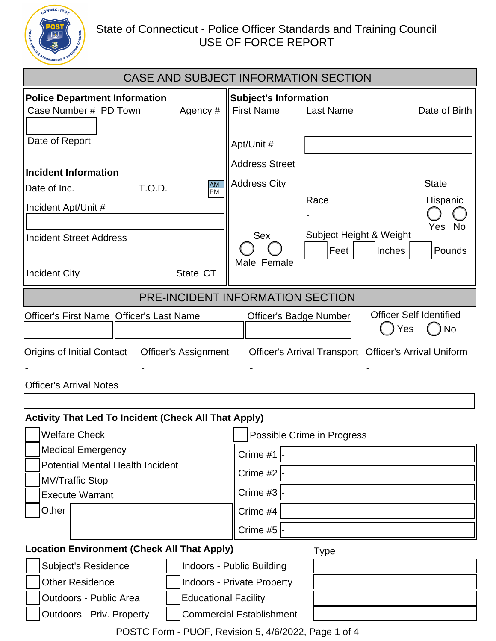

## State of Connecticut - Police Officer Standards and Training Council<br>USE OF FORCE REPORT

| CASE AND SUBJECT INFORMATION SECTION                                                                                                                                                                                                                                                           |                                                                                        |  |  |  |  |
|------------------------------------------------------------------------------------------------------------------------------------------------------------------------------------------------------------------------------------------------------------------------------------------------|----------------------------------------------------------------------------------------|--|--|--|--|
| <b>Police Department Information</b><br>Case Number # PD Town<br>Agency #                                                                                                                                                                                                                      | <b>Subject's Information</b><br><b>First Name</b><br><b>Last Name</b><br>Date of Birth |  |  |  |  |
| Date of Report                                                                                                                                                                                                                                                                                 | Apt/Unit #                                                                             |  |  |  |  |
| Incident Information                                                                                                                                                                                                                                                                           | <b>Address Street</b>                                                                  |  |  |  |  |
| <b>AM</b><br>T.O.D.<br>Date of Inc.<br>PM                                                                                                                                                                                                                                                      | <b>Address City</b><br><b>State</b><br>Race<br>Hispanic                                |  |  |  |  |
| Incident Apt/Unit #                                                                                                                                                                                                                                                                            |                                                                                        |  |  |  |  |
| <b>Incident Street Address</b>                                                                                                                                                                                                                                                                 | Yes No<br>Subject Height & Weight<br><b>Sex</b><br>Feet<br>Inches<br>Pounds            |  |  |  |  |
| <b>Incident City</b><br>State CT                                                                                                                                                                                                                                                               | Male Female                                                                            |  |  |  |  |
|                                                                                                                                                                                                                                                                                                | PRE-INCIDENT INFORMATION SECTION                                                       |  |  |  |  |
| <b>Officer Self Identified</b><br><b>Officer's First Name Officer's Last Name</b><br><b>Officer's Badge Number</b><br>No<br>Yes<br>Officer's Arrival Transport Officer's Arrival Uniform<br><b>Origins of Initial Contact</b><br><b>Officer's Assignment</b><br><b>Officer's Arrival Notes</b> |                                                                                        |  |  |  |  |
|                                                                                                                                                                                                                                                                                                |                                                                                        |  |  |  |  |
| <b>Activity That Led To Incident (Check All That Apply)</b><br><b>Welfare Check</b><br>Possible Crime in Progress                                                                                                                                                                              |                                                                                        |  |  |  |  |
| <b>Medical Emergency</b>                                                                                                                                                                                                                                                                       | Crime #1                                                                               |  |  |  |  |
| <b>Potential Mental Health Incident</b><br><b>MV/Traffic Stop</b>                                                                                                                                                                                                                              | Crime #2                                                                               |  |  |  |  |
| <b>Execute Warrant</b>                                                                                                                                                                                                                                                                         | Crime #3                                                                               |  |  |  |  |
| Other                                                                                                                                                                                                                                                                                          | Crime #4                                                                               |  |  |  |  |
|                                                                                                                                                                                                                                                                                                | Crime #5                                                                               |  |  |  |  |
| <b>Location Environment (Check All That Apply)</b><br><b>Type</b>                                                                                                                                                                                                                              |                                                                                        |  |  |  |  |
| <b>Subject's Residence</b>                                                                                                                                                                                                                                                                     | Indoors - Public Building                                                              |  |  |  |  |
| <b>Other Residence</b><br><b>Indoors - Private Property</b>                                                                                                                                                                                                                                    |                                                                                        |  |  |  |  |
| <b>Outdoors - Public Area</b><br><b>Educational Facility</b>                                                                                                                                                                                                                                   |                                                                                        |  |  |  |  |
| <b>Outdoors - Priv. Property</b>                                                                                                                                                                                                                                                               | <b>Commercial Establishment</b>                                                        |  |  |  |  |

POSTC Form - PUOF, Revision 5, 4/6/2022, Page 1 of 4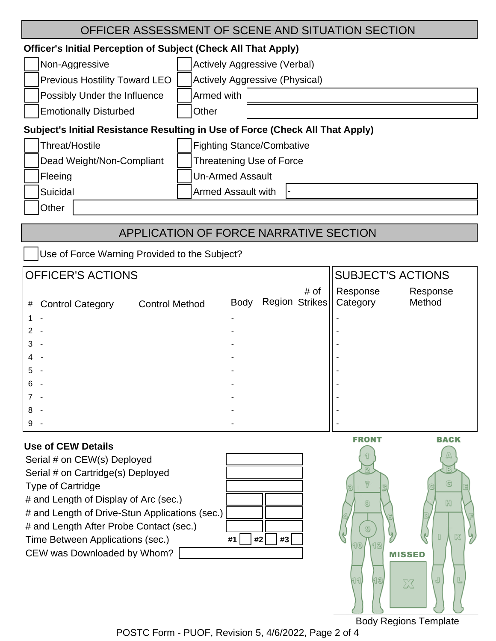| OFFICER ASSESSMENT OF SCENE AND SITUATION SECTION                             |                                  |  |  |  |
|-------------------------------------------------------------------------------|----------------------------------|--|--|--|
| <b>Officer's Initial Perception of Subject (Check All That Apply)</b>         |                                  |  |  |  |
| Non-Aggressive                                                                | Actively Aggressive (Verbal)     |  |  |  |
| <b>Previous Hostility Toward LEO</b>                                          | Actively Aggressive (Physical)   |  |  |  |
| Possibly Under the Influence                                                  | Armed with                       |  |  |  |
| <b>Emotionally Disturbed</b>                                                  | Other                            |  |  |  |
| Subject's Initial Resistance Resulting in Use of Force (Check All That Apply) |                                  |  |  |  |
| Threat/Hostile                                                                | <b>Fighting Stance/Combative</b> |  |  |  |
| Dead Weight/Non-Compliant                                                     | Threatening Use of Force         |  |  |  |
| Fleeing                                                                       | <b>Un-Armed Assault</b>          |  |  |  |
| Suicidal                                                                      | <b>Armed Assault with</b>        |  |  |  |
| Other                                                                         |                                  |  |  |  |
|                                                                               |                                  |  |  |  |

## APPLICATION OF FORCE NARRATIVE SECTION

Use of Force Warning Provided to the Subject?

| <b>OFFICER'S ACTIONS</b> |                         |                       |                      |  | SUBJECT'S ACTIONS |                                       |                    |
|--------------------------|-------------------------|-----------------------|----------------------|--|-------------------|---------------------------------------|--------------------|
| #                        | <b>Control Category</b> | <b>Control Method</b> | Body                 |  | # of              | Response<br>Region Strikes   Category | Response<br>Method |
|                          |                         |                       | $\blacktriangledown$ |  |                   |                                       |                    |
|                          |                         |                       |                      |  |                   |                                       |                    |
|                          |                         |                       |                      |  |                   |                                       |                    |
|                          |                         |                       |                      |  |                   |                                       |                    |
| 5                        |                         |                       |                      |  |                   |                                       |                    |
| 6                        |                         |                       |                      |  |                   |                                       |                    |
|                          |                         |                       |                      |  |                   |                                       |                    |
| 8                        |                         |                       |                      |  |                   |                                       |                    |
|                          |                         |                       |                      |  |                   |                                       |                    |

| Use of CEW Details                                 |
|----------------------------------------------------|
| Serial # on CEW(s) Deployed                        |
| Serial # on Cartridge(s) Deployed                  |
| <b>Type of Cartridge</b>                           |
| # and Length of Display of Arc (sec.)              |
| # and Length of Drive-Stun Applications (sec.)     |
| # and Length After Probe Contact (sec.)            |
| #2<br>Time Between Applications (sec.)<br>#1<br>#3 |
| CEW was Downloaded by Whom?                        |
|                                                    |
|                                                    |



Body Regions Template

POSTC Form - PUOF, Revision 5, 4/6/2022, Page 2 of 4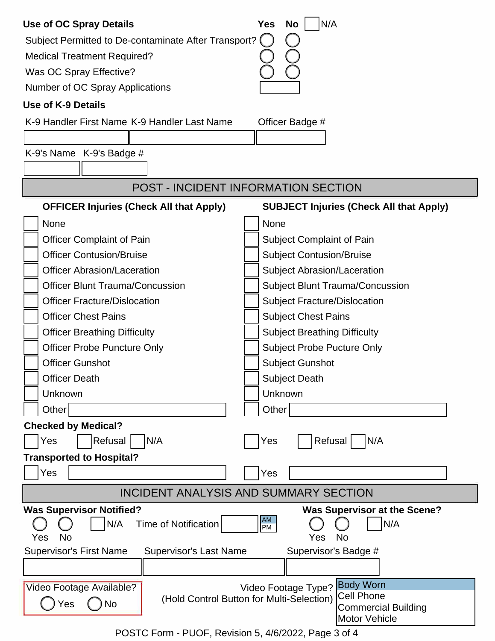| <b>Use of OC Spray Details</b>                                          | N/A<br><b>No</b><br><b>Yes</b>                  |  |
|-------------------------------------------------------------------------|-------------------------------------------------|--|
| Subject Permitted to De-contaminate After Transport? (                  |                                                 |  |
| <b>Medical Treatment Required?</b>                                      |                                                 |  |
| Was OC Spray Effective?                                                 |                                                 |  |
| Number of OC Spray Applications                                         |                                                 |  |
| <b>Use of K-9 Details</b>                                               |                                                 |  |
| K-9 Handler First Name K-9 Handler Last Name                            | Officer Badge #                                 |  |
|                                                                         |                                                 |  |
| K-9's Name K-9's Badge #                                                |                                                 |  |
|                                                                         |                                                 |  |
| <b>POST - INCIDENT INFORMATION SECTION</b>                              |                                                 |  |
| <b>OFFICER Injuries (Check All that Apply)</b>                          | <b>SUBJECT Injuries (Check All that Apply)</b>  |  |
| None                                                                    | None                                            |  |
| <b>Officer Complaint of Pain</b>                                        | <b>Subject Complaint of Pain</b>                |  |
| <b>Officer Contusion/Bruise</b>                                         | <b>Subject Contusion/Bruise</b>                 |  |
| <b>Officer Abrasion/Laceration</b>                                      | Subject Abrasion/Laceration                     |  |
| <b>Officer Blunt Trauma/Concussion</b>                                  | <b>Subject Blunt Trauma/Concussion</b>          |  |
| <b>Officer Fracture/Dislocation</b>                                     | <b>Subject Fracture/Dislocation</b>             |  |
| <b>Officer Chest Pains</b>                                              | <b>Subject Chest Pains</b>                      |  |
| <b>Officer Breathing Difficulty</b>                                     | <b>Subject Breathing Difficulty</b>             |  |
| <b>Officer Probe Puncture Only</b><br><b>Subject Probe Pucture Only</b> |                                                 |  |
| <b>Officer Gunshot</b>                                                  | <b>Subject Gunshot</b>                          |  |
| <b>Officer Death</b>                                                    | <b>Subject Death</b>                            |  |
| Unknown                                                                 | Unknown                                         |  |
| Other                                                                   | Other                                           |  |
| <b>Checked by Medical?</b>                                              |                                                 |  |
| Refusal<br>N/A<br>Yes                                                   | Refusal<br>N/A<br>Yes                           |  |
| <b>Transported to Hospital?</b>                                         |                                                 |  |
| Yes                                                                     | Yes                                             |  |
| <b>INCIDENT ANALYSIS AND SUMMARY SECTION</b>                            |                                                 |  |
| <b>Was Supervisor Notified?</b>                                         | <b>Was Supervisor at the Scene?</b>             |  |
| N/A<br>Time of Notification<br><b>No</b><br>Yes                         | AM<br>PM<br>N/A<br><b>No</b><br>Yes             |  |
| <b>Supervisor's First Name</b><br><b>Supervisor's Last Name</b>         | Supervisor's Badge #                            |  |
|                                                                         |                                                 |  |
| Video Footage Available?                                                | <b>Body Worn</b><br>Video Footage Type?         |  |
| (Hold Control Button for Multi-Selection)<br>Yes<br><b>No</b>           | <b>Cell Phone</b><br><b>Commercial Building</b> |  |
|                                                                         | <b>Motor Vehicle</b>                            |  |

POSTC Form - PUOF, Revision 5, 4/6/2022, Page 3 of 4